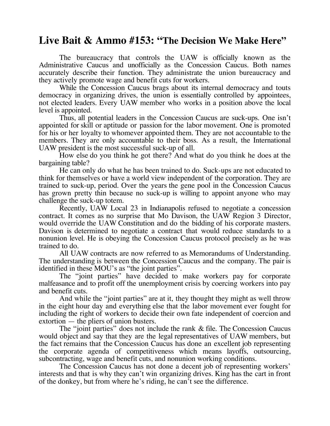## **Live Bait & Ammo #153: "The Decision We Make Here"**

The bureaucracy that controls the UAW is officially known as the Administrative Caucus and unofficially as the Concession Caucus. Both names accurately describe their function. They administrate the union bureaucracy and they actively promote wage and benefit cuts for workers.

While the Concession Caucus brags about its internal democracy and touts democracy in organizing drives, the union is essentially controlled by appointees, not elected leaders. Every UAW member who works in a position above the local level is appointed.

Thus, all potential leaders in the Concession Caucus are suck-ups. One isn't appointed for skill or aptitude or passion for the labor movement. One is promoted for his or her loyalty to whomever appointed them. They are not accountable to the members. They are only accountable to their boss. As a result, the International UAW president is the most successful suck-up of all.

How else do you think he got there? And what do you think he does at the bargaining table?

He can only do what he has been trained to do. Suck-ups are not educated to think for themselves or have a world view independent of the corporation. They are trained to suck-up, period. Over the years the gene pool in the Concession Caucus has grown pretty thin because no suck-up is willing to appoint anyone who may challenge the suck-up totem.

Recently, UAW Local 23 in Indianapolis refused to negotiate a concession contract. It comes as no surprise that Mo Davison, the UAW Region 3 Director, would override the UAW Constitution and do the bidding of his corporate masters. Davison is determined to negotiate a contract that would reduce standards to a nonunion level. He is obeying the Concession Caucus protocol precisely as he was trained to do.

All UAW contracts are now referred to as Memorandums of Understanding. The understanding is between the Concession Caucus and the company. The pair is identified in these MOU's as "the joint parties".

The "joint parties" have decided to make workers pay for corporate malfeasance and to profit off the unemployment crisis by coercing workers into pay and benefit cuts.

And while the "joint parties" are at it, they thought they might as well throw in the eight hour day and everything else that the labor movement ever fought for including the right of workers to decide their own fate independent of coercion and extortion — the pliers of union busters.

The "joint parties" does not include the rank & file. The Concession Caucus would object and say that they are the legal representatives of UAW members, but the fact remains that the Concession Caucus has done an excellent job representing the corporate agenda of competitiveness which means layoffs, outsourcing, subcontracting, wage and benefit cuts, and nonunion working conditions.

The Concession Caucus has not done a decent job of representing workers' interests and that is why they can't win organizing drives. King has the cart in front of the donkey, but from where he's riding, he can't see the difference.